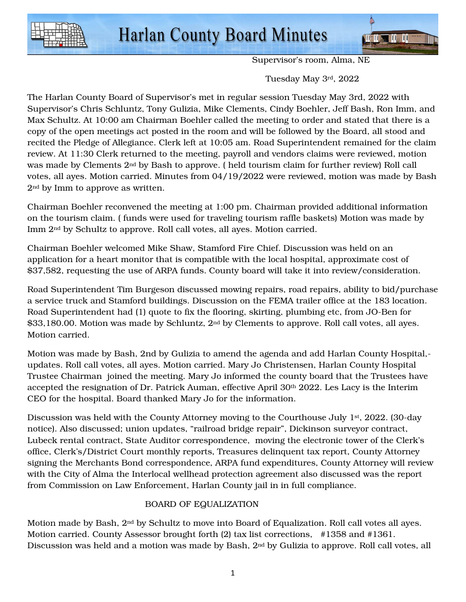

Supervisor's room, Alma, NE

Tuesday May 3rd, 2022

The Harlan County Board of Supervisor's met in regular session Tuesday May 3rd, 2022 with Supervisor's Chris Schluntz, Tony Gulizia, Mike Clements, Cindy Boehler, Jeff Bash, Ron Imm, and Max Schultz. At 10:00 am Chairman Boehler called the meeting to order and stated that there is a copy of the open meetings act posted in the room and will be followed by the Board, all stood and recited the Pledge of Allegiance. Clerk left at 10:05 am. Road Superintendent remained for the claim review. At 11:30 Clerk returned to the meeting, payroll and vendors claims were reviewed, motion was made by Clements 2nd by Bash to approve. ( held tourism claim for further review) Roll call votes, all ayes. Motion carried. Minutes from 04/19/2022 were reviewed, motion was made by Bash 2nd by Imm to approve as written.

Chairman Boehler reconvened the meeting at 1:00 pm. Chairman provided additional information on the tourism claim. ( funds were used for traveling tourism raffle baskets) Motion was made by Imm 2nd by Schultz to approve. Roll call votes, all ayes. Motion carried.

Chairman Boehler welcomed Mike Shaw, Stamford Fire Chief. Discussion was held on an application for a heart monitor that is compatible with the local hospital, approximate cost of \$37,582, requesting the use of ARPA funds. County board will take it into review/consideration.

Road Superintendent Tim Burgeson discussed mowing repairs, road repairs, ability to bid/purchase a service truck and Stamford buildings. Discussion on the FEMA trailer office at the 183 location. Road Superintendent had (1) quote to fix the flooring, skirting, plumbing etc, from JO-Ben for  $$33,180.00$ . Motion was made by Schluntz,  $2<sup>nd</sup>$  by Clements to approve. Roll call votes, all ayes. Motion carried.

Motion was made by Bash, 2nd by Gulizia to amend the agenda and add Harlan County Hospital, updates. Roll call votes, all ayes. Motion carried. Mary Jo Christensen, Harlan County Hospital Trustee Chairman joined the meeting. Mary Jo informed the county board that the Trustees have accepted the resignation of Dr. Patrick Auman, effective April 30th 2022. Les Lacy is the Interim CEO for the hospital. Board thanked Mary Jo for the information.

Discussion was held with the County Attorney moving to the Courthouse July 1<sup>st</sup>, 2022. (30-day notice). Also discussed; union updates, "railroad bridge repair", Dickinson surveyor contract, Lubeck rental contract, State Auditor correspondence, moving the electronic tower of the Clerk's office, Clerk's/District Court monthly reports, Treasures delinquent tax report, County Attorney signing the Merchants Bond correspondence, ARPA fund expenditures, County Attorney will review with the City of Alma the Interlocal wellhead protection agreement also discussed was the report from Commission on Law Enforcement, Harlan County jail in in full compliance.

## BOARD OF EQUALIZATION

Motion made by Bash, 2nd by Schultz to move into Board of Equalization. Roll call votes all ayes. Motion carried. County Assessor brought forth (2) tax list corrections, #1358 and #1361. Discussion was held and a motion was made by Bash, 2nd by Gulizia to approve. Roll call votes, all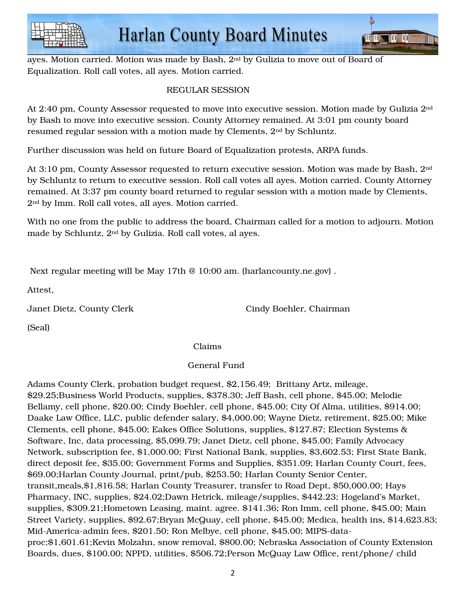



ayes. Motion carried. Motion was made by Bash, 2nd by Gulizia to move out of Board of Equalization. Roll call votes, all ayes. Motion carried.

# REGULAR SESSION

At 2:40 pm, County Assessor requested to move into executive session. Motion made by Gulizia 2nd by Bash to move into executive session. County Attorney remained. At 3:01 pm county board resumed regular session with a motion made by Clements, 2nd by Schluntz.

Further discussion was held on future Board of Equalization protests, ARPA funds.

At 3:10 pm, County Assessor requested to return executive session. Motion was made by Bash, 2nd by Schluntz to return to executive session. Roll call votes all ayes. Motion carried. County Attorney remained. At 3:37 pm county board returned to regular session with a motion made by Clements, 2nd by Imm. Roll call votes, all ayes. Motion carried.

With no one from the public to address the board, Chairman called for a motion to adjourn. Motion made by Schluntz, 2nd by Gulizia. Roll call votes, al ayes.

Next regular meeting will be May 17th @ 10:00 am. (harlancounty.ne.gov) .

Attest,

Janet Dietz, County Clerk Cindy Boehler, Chairman

(Seal)

Claims

## General Fund

Adams County Clerk, probation budget request, \$2,156.49; Brittany Artz, mileage, \$29.25;Business World Products, supplies, \$378.30; Jeff Bash, cell phone, \$45.00; Melodie Bellamy, cell phone, \$20.00; Cindy Boehler, cell phone, \$45.00; City Of Alma, utilities, \$914.00; Daake Law Office, LLC, public defender salary, \$4,000.00; Wayne Dietz, retirement, \$25.00; Mike Clements, cell phone, \$45.00; Eakes Office Solutions, supplies, \$127.87; Election Systems & Software, Inc, data processing, \$5,099.79; Janet Dietz, cell phone, \$45.00; Family Advocacy Network, subscription fee, \$1,000.00; First National Bank, supplies, \$3,602.53; First State Bank, direct deposit fee, \$35.00; Government Forms and Supplies, \$351.09; Harlan County Court, fees, \$69.00;Harlan County Journal, print/pub, \$253.50; Harlan County Senior Center, transit,meals,\$1,816.58; Harlan County Treasurer, transfer to Road Dept, \$50,000.00; Hays Pharmacy, INC, supplies, \$24.02;Dawn Hetrick, mileage/supplies, \$442.23; Hogeland's Market, supplies, \$309.21;Hometown Leasing, maint. agree. \$141.36; Ron Imm, cell phone, \$45.00; Main Street Variety, supplies, \$92.67;Bryan McQuay, cell phone, \$45.00; Medica, health ins, \$14,623.83; Mid-America-admin fees, \$201.50; Ron Melbye, cell phone, \$45.00; MIPS-dataproc;\$1,601.61;Kevin Molzahn, snow removal, \$800.00; Nebraska Association of County Extension Boards, dues, \$100.00; NPPD, utilities, \$506.72;Person McQuay Law Office, rent/phone/ child